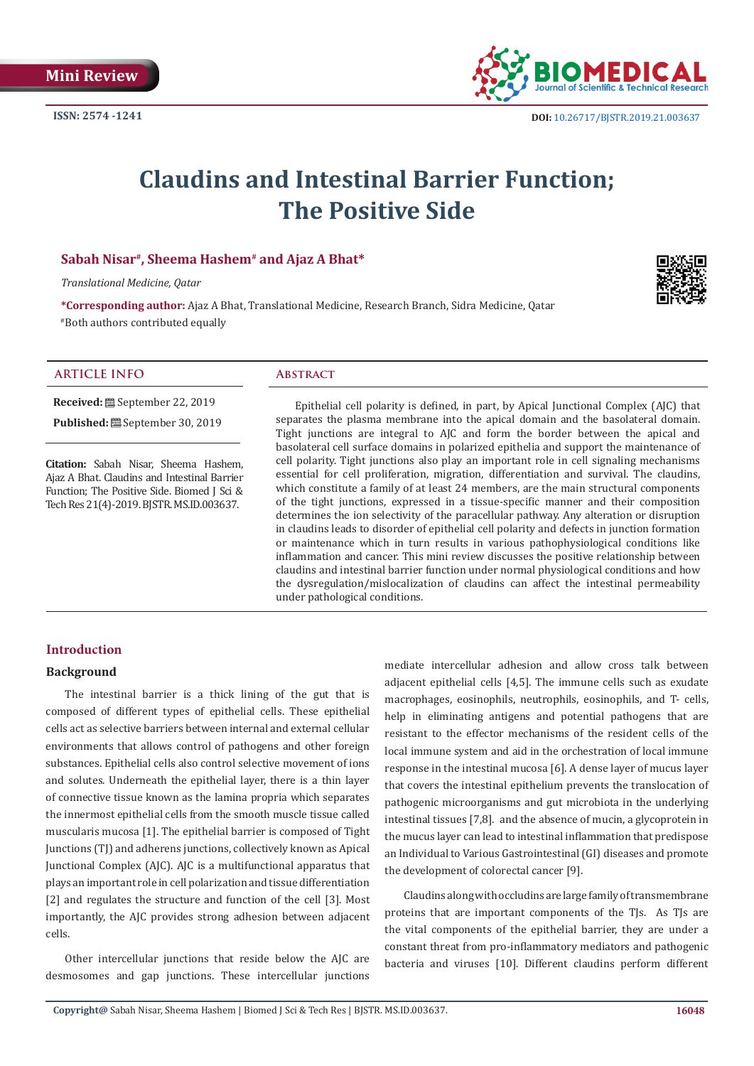**ISSN: 2574 -1241**



# **Claudins and Intestinal Barrier Function; The Positive Side**

## **Sabah Nisar#, Sheema Hashem# and Ajaz A Bhat\***

*Translational Medicine, Qatar*

**\*Corresponding author:** Ajaz A Bhat, Translational Medicine, Research Branch, Sidra Medicine, Qatar #Both authors contributed equally



| $\cdots$ $\cdots$<br>- 11<br>$\mathbf{A}$ L |  |
|---------------------------------------------|--|
|                                             |  |

**Received:** September 22, 2019 Published: <sup>[26]</sup> September 30, 2019

**Citation:** Sabah Nisar, Sheema Hashem, Ajaz A Bhat. Claudins and Intestinal Barrier Function; The Positive Side. Biomed J Sci & Tech Res 21(4)-2019. BJSTR. MS.ID.003637.

Epithelial cell polarity is defined, in part, by Apical Junctional Complex (AJC) that separates the plasma membrane into the apical domain and the basolateral domain. Tight junctions are integral to AJC and form the border between the apical and basolateral cell surface domains in polarized epithelia and support the maintenance of cell polarity. Tight junctions also play an important role in cell signaling mechanisms essential for cell proliferation, migration, differentiation and survival. The claudins, which constitute a family of at least 24 members, are the main structural components of the tight junctions, expressed in a tissue-specific manner and their composition determines the ion selectivity of the paracellular pathway. Any alteration or disruption in claudins leads to disorder of epithelial cell polarity and defects in junction formation or maintenance which in turn results in various pathophysiological conditions like inflammation and cancer. This mini review discusses the positive relationship between claudins and intestinal barrier function under normal physiological conditions and how the dysregulation/mislocalization of claudins can affect the intestinal permeability under pathological conditions.

## **Introduction**

#### **Background**

The intestinal barrier is a thick lining of the gut that is composed of different types of epithelial cells. These epithelial cells act as selective barriers between internal and external cellular environments that allows control of pathogens and other foreign substances. Epithelial cells also control selective movement of ions and solutes. Underneath the epithelial layer, there is a thin layer of connective tissue known as the lamina propria which separates the innermost epithelial cells from the smooth muscle tissue called muscularis mucosa [1]. The epithelial barrier is composed of Tight Junctions (TJ) and adherens junctions, collectively known as Apical Junctional Complex (AJC). AJC is a multifunctional apparatus that plays an important role in cell polarization and tissue differentiation [2] and regulates the structure and function of the cell [3]. Most importantly, the AJC provides strong adhesion between adjacent cells.

Other intercellular junctions that reside below the AJC are desmosomes and gap junctions. These intercellular junctions

mediate intercellular adhesion and allow cross talk between adjacent epithelial cells [4,5]. The immune cells such as exudate macrophages, eosinophils, neutrophils, eosinophils, and T- cells, help in eliminating antigens and potential pathogens that are resistant to the effector mechanisms of the resident cells of the local immune system and aid in the orchestration of local immune response in the intestinal mucosa [6]. A dense layer of mucus layer that covers the intestinal epithelium prevents the translocation of pathogenic microorganisms and gut microbiota in the underlying intestinal tissues [7,8]. and the absence of mucin, a glycoprotein in the mucus layer can lead to intestinal inflammation that predispose an Individual to Various Gastrointestinal (GI) diseases and promote the development of colorectal cancer [9].

Claudins along with occludins are large family of transmembrane proteins that are important components of the TJs. As TJs are the vital components of the epithelial barrier, they are under a constant threat from pro-inflammatory mediators and pathogenic bacteria and viruses [10]. Different claudins perform different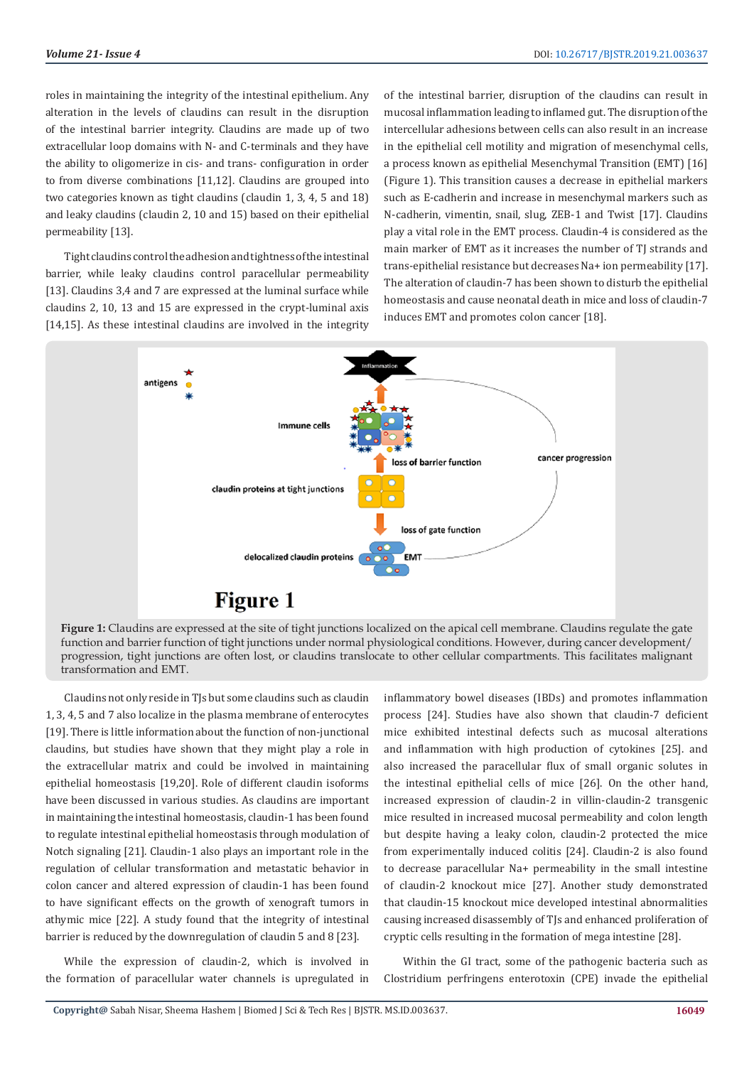roles in maintaining the integrity of the intestinal epithelium. Any alteration in the levels of claudins can result in the disruption of the intestinal barrier integrity. Claudins are made up of two extracellular loop domains with N- and C-terminals and they have the ability to oligomerize in cis- and trans- configuration in order to from diverse combinations [11,12]. Claudins are grouped into two categories known as tight claudins (claudin 1, 3, 4, 5 and 18) and leaky claudins (claudin 2, 10 and 15) based on their epithelial permeability [13].

Tight claudins control the adhesion and tightness of the intestinal barrier, while leaky claudins control paracellular permeability [13]. Claudins 3,4 and 7 are expressed at the luminal surface while claudins 2, 10, 13 and 15 are expressed in the crypt-luminal axis [14,15]. As these intestinal claudins are involved in the integrity of the intestinal barrier, disruption of the claudins can result in mucosal inflammation leading to inflamed gut. The disruption of the intercellular adhesions between cells can also result in an increase in the epithelial cell motility and migration of mesenchymal cells, a process known as epithelial Mesenchymal Transition (EMT) [16] (Figure 1). This transition causes a decrease in epithelial markers such as E-cadherin and increase in mesenchymal markers such as N-cadherin, vimentin, snail, slug, ZEB-1 and Twist [17]. Claudins play a vital role in the EMT process. Claudin-4 is considered as the main marker of EMT as it increases the number of TJ strands and trans-epithelial resistance but decreases Na+ ion permeability [17]. The alteration of claudin-7 has been shown to disturb the epithelial homeostasis and cause neonatal death in mice and loss of claudin-7 induces EMT and promotes colon cancer [18].



**Figure 1:** Claudins are expressed at the site of tight junctions localized on the apical cell membrane. Claudins regulate the gate function and barrier function of tight junctions under normal physiological conditions. However, during cancer development/ progression, tight junctions are often lost, or claudins translocate to other cellular compartments. This facilitates malignant transformation and EMT.

Claudins not only reside in TJs but some claudins such as claudin 1, 3, 4, 5 and 7 also localize in the plasma membrane of enterocytes [19]. There is little information about the function of non-junctional claudins, but studies have shown that they might play a role in the extracellular matrix and could be involved in maintaining epithelial homeostasis [19,20]. Role of different claudin isoforms have been discussed in various studies. As claudins are important in maintaining the intestinal homeostasis, claudin-1 has been found to regulate intestinal epithelial homeostasis through modulation of Notch signaling [21]. Claudin-1 also plays an important role in the regulation of cellular transformation and metastatic behavior in colon cancer and altered expression of claudin-1 has been found to have significant effects on the growth of xenograft tumors in athymic mice [22]. A study found that the integrity of intestinal barrier is reduced by the downregulation of claudin 5 and 8 [23].

While the expression of claudin-2, which is involved in the formation of paracellular water channels is upregulated in inflammatory bowel diseases (IBDs) and promotes inflammation process [24]. Studies have also shown that claudin-7 deficient mice exhibited intestinal defects such as mucosal alterations and inflammation with high production of cytokines [25]. and also increased the paracellular flux of small organic solutes in the intestinal epithelial cells of mice [26]. On the other hand, increased expression of claudin-2 in villin-claudin-2 transgenic mice resulted in increased mucosal permeability and colon length but despite having a leaky colon, claudin-2 protected the mice from experimentally induced colitis [24]. Claudin-2 is also found to decrease paracellular Na+ permeability in the small intestine of claudin-2 knockout mice [27]. Another study demonstrated that claudin-15 knockout mice developed intestinal abnormalities causing increased disassembly of TJs and enhanced proliferation of cryptic cells resulting in the formation of mega intestine [28].

Within the GI tract, some of the pathogenic bacteria such as Clostridium perfringens enterotoxin (CPE) invade the epithelial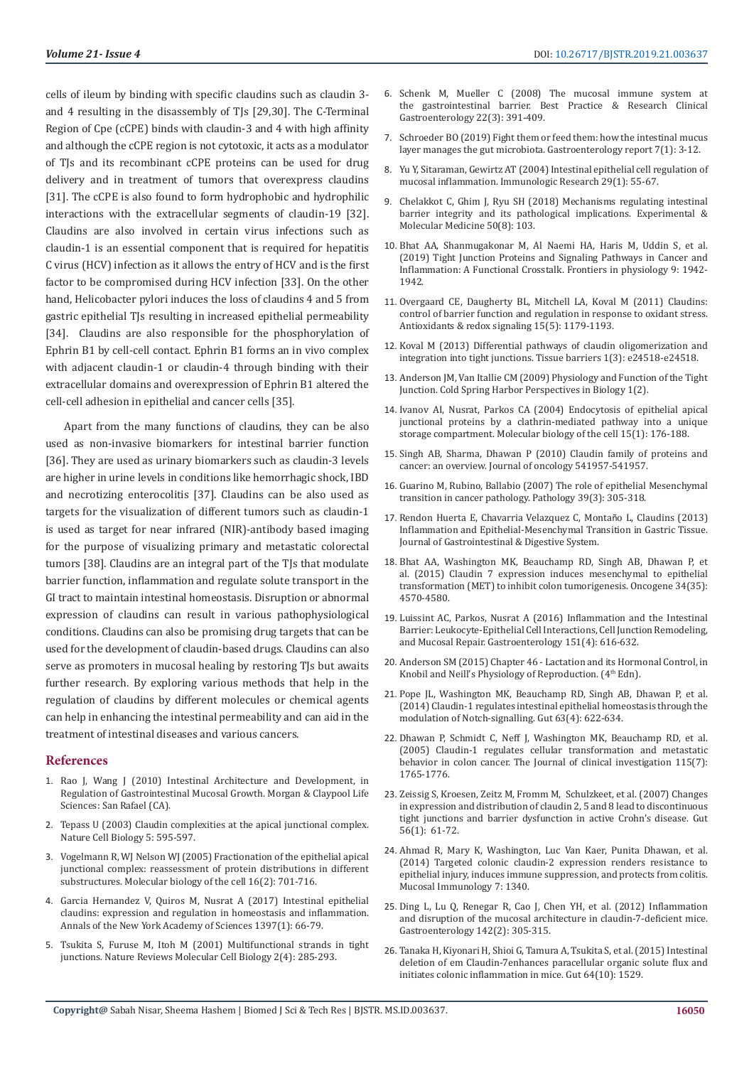cells of ileum by binding with specific claudins such as claudin 3 and 4 resulting in the disassembly of TJs [29,30]. The C-Terminal Region of Cpe (cCPE) binds with claudin-3 and 4 with high affinity and although the cCPE region is not cytotoxic, it acts as a modulator of TJs and its recombinant cCPE proteins can be used for drug delivery and in treatment of tumors that overexpress claudins [31]. The cCPE is also found to form hydrophobic and hydrophilic interactions with the extracellular segments of claudin-19 [32]. Claudins are also involved in certain virus infections such as claudin-1 is an essential component that is required for hepatitis C virus (HCV) infection as it allows the entry of HCV and is the first factor to be compromised during HCV infection [33]. On the other hand, Helicobacter pylori induces the loss of claudins 4 and 5 from gastric epithelial TJs resulting in increased epithelial permeability [34]. Claudins are also responsible for the phosphorylation of Ephrin B1 by cell-cell contact. Ephrin B1 forms an in vivo complex with adjacent claudin-1 or claudin-4 through binding with their extracellular domains and overexpression of Ephrin B1 altered the cell-cell adhesion in epithelial and cancer cells [35].

Apart from the many functions of claudins, they can be also used as non-invasive biomarkers for intestinal barrier function [36]. They are used as urinary biomarkers such as claudin-3 levels are higher in urine levels in conditions like hemorrhagic shock, IBD and necrotizing enterocolitis [37]. Claudins can be also used as targets for the visualization of different tumors such as claudin-1 is used as target for near infrared (NIR)-antibody based imaging for the purpose of visualizing primary and metastatic colorectal tumors [38]. Claudins are an integral part of the TJs that modulate barrier function, inflammation and regulate solute transport in the GI tract to maintain intestinal homeostasis. Disruption or abnormal expression of claudins can result in various pathophysiological conditions. Claudins can also be promising drug targets that can be used for the development of claudin-based drugs. Claudins can also serve as promoters in mucosal healing by restoring TJs but awaits further research. By exploring various methods that help in the regulation of claudins by different molecules or chemical agents can help in enhancing the intestinal permeability and can aid in the treatment of intestinal diseases and various cancers.

#### **References**

- 1. [Rao J, Wang J \(2010\) Intestinal Architecture and Development, in](https://www.ncbi.nlm.nih.gov/books/NBK54091/)  [Regulation of Gastrointestinal Mucosal Growth. Morgan & Claypool Life](https://www.ncbi.nlm.nih.gov/books/NBK54091/)  [Sciences: San Rafael \(CA\).](https://www.ncbi.nlm.nih.gov/books/NBK54091/)
- 2. [Tepass U \(2003\) Claudin complexities at the apical junctional complex.](https://www.nature.com/articles/ncb0703-595?proof=trueIn)  [Nature Cell Biology 5: 595-597.](https://www.nature.com/articles/ncb0703-595?proof=trueIn)
- 3. [Vogelmann R, WJ Nelson WJ \(2005\) Fractionation of the epithelial apical](https://www.ncbi.nlm.nih.gov/pmc/articles/PMC545905/)  [junctional complex: reassessment of protein distributions in different](https://www.ncbi.nlm.nih.gov/pmc/articles/PMC545905/)  [substructures. Molecular biology of the cell 16\(2\): 701-716.](https://www.ncbi.nlm.nih.gov/pmc/articles/PMC545905/)
- 4. [Garcia Hernandez V, Quiros M, Nusrat A \(2017\) Intestinal epithelial](https://www.ncbi.nlm.nih.gov/pubmed/28493289)  [claudins: expression and regulation in homeostasis and inflammation.](https://www.ncbi.nlm.nih.gov/pubmed/28493289)  [Annals of the New York Academy of Sciences 1397\(1\): 66-79.](https://www.ncbi.nlm.nih.gov/pubmed/28493289)
- 5. [Tsukita S, Furuse M, Itoh M \(2001\) Multifunctional strands in tight](https://www.ncbi.nlm.nih.gov/pubmed/11283726)  [junctions. Nature Reviews Molecular Cell Biology 2\(4\): 285-293.](https://www.ncbi.nlm.nih.gov/pubmed/11283726)
- 6. [Schenk M, Mueller C \(2008\) The mucosal immune system at](https://www.ncbi.nlm.nih.gov/pubmed/18492562) [the gastrointestinal barrier. Best Practice & Research Clinical](https://www.ncbi.nlm.nih.gov/pubmed/18492562) [Gastroenterology 22\(3\): 391-409.](https://www.ncbi.nlm.nih.gov/pubmed/18492562)
- 7. [Schroeder BO \(2019\) Fight them or feed them: how the intestinal mucus](https://academic.oup.com/gastro/article/7/1/3/5305718) [layer manages the gut microbiota. Gastroenterology report 7\(1\): 3-12.](https://academic.oup.com/gastro/article/7/1/3/5305718)
- 8. [Yu Y, Sitaraman, Gewirtz AT \(2004\) Intestinal epithelial cell regulation of](https://link.springer.com/article/10.1385/IR:29:1-3:055) [mucosal inflammation. Immunologic Research 29\(1\): 55-67.](https://link.springer.com/article/10.1385/IR:29:1-3:055)
- 9. [Chelakkot C, Ghim J, Ryu SH \(2018\) Mechanisms regulating intestinal](https://www.ncbi.nlm.nih.gov/pubmed/30115904) [barrier integrity and its pathological implications. Experimental &](https://www.ncbi.nlm.nih.gov/pubmed/30115904) [Molecular Medicine 50\(8\): 103.](https://www.ncbi.nlm.nih.gov/pubmed/30115904)
- 10. [Bhat AA, Shanmugakonar M, Al Naemi HA, Haris M, Uddin S, et al.](https://www.ncbi.nlm.nih.gov/pubmed/30728783) [\(2019\) Tight Junction Proteins and Signaling Pathways in Cancer and](https://www.ncbi.nlm.nih.gov/pubmed/30728783) [Inflammation: A Functional Crosstalk. Frontiers in physiology 9: 1942-](https://www.ncbi.nlm.nih.gov/pubmed/30728783) [1942.](https://www.ncbi.nlm.nih.gov/pubmed/30728783)
- 11. [Overgaard CE, Daugherty BL, Mitchell LA, Koval M \(2011\) Claudins:](https://www.ncbi.nlm.nih.gov/pubmed/21275791) [control of barrier function and regulation in response to oxidant stress.](https://www.ncbi.nlm.nih.gov/pubmed/21275791) [Antioxidants & redox signaling 15\(5\): 1179-1193.](https://www.ncbi.nlm.nih.gov/pubmed/21275791)
- 12. [Koval M \(2013\) Differential pathways of claudin oligomerization and](https://www.ncbi.nlm.nih.gov/pmc/articles/PMC3867512/) [integration into tight junctions. Tissue barriers 1\(3\): e24518-e24518.](https://www.ncbi.nlm.nih.gov/pmc/articles/PMC3867512/)
- 13. [Anderson JM, Van Itallie CM \(2009\) Physiology and Function of the Tight](https://www.ncbi.nlm.nih.gov/pubmed/20066090) [Junction. Cold Spring Harbor Perspectives in Biology 1\(2\).](https://www.ncbi.nlm.nih.gov/pubmed/20066090)
- 14. [Ivanov AI, Nusrat, Parkos CA \(2004\) Endocytosis of epithelial apical](https://www.ncbi.nlm.nih.gov/pmc/articles/PMC307538/) [junctional proteins by a clathrin-mediated pathway into a unique](https://www.ncbi.nlm.nih.gov/pmc/articles/PMC307538/) [storage compartment. Molecular biology of the cell 15\(1\): 176-188.](https://www.ncbi.nlm.nih.gov/pmc/articles/PMC307538/)
- 15. [Singh AB, Sharma, Dhawan P \(2010\) Claudin family of proteins and](https://www.hindawi.com/journals/jo/2010/541957/) [cancer: an overview. Journal of oncology 541957-541957.](https://www.hindawi.com/journals/jo/2010/541957/)
- 16. [Guarino M, Rubino, Ballabio \(2007\) The role of epithelial Mesenchymal](https://www.ncbi.nlm.nih.gov/pubmed/17558857) [transition in cancer pathology. Pathology 39\(3\): 305-318.](https://www.ncbi.nlm.nih.gov/pubmed/17558857)
- 17. [Rendon Huerta E, Chavarria Velazquez C, Monta](https://www.omicsonline.org/claudins-inflammation-and-epithelialmesenchymal-transition-in-gastric-tissue-2161-069X-3-149.php?aid=21285)ño L, Claudins (2013) [Inflammation and Epithelial-Mesenchymal Transition in Gastric Tissue.](https://www.omicsonline.org/claudins-inflammation-and-epithelialmesenchymal-transition-in-gastric-tissue-2161-069X-3-149.php?aid=21285) [Journal of Gastrointestinal & Digestive System.](https://www.omicsonline.org/claudins-inflammation-and-epithelialmesenchymal-transition-in-gastric-tissue-2161-069X-3-149.php?aid=21285)
- 18. [Bhat AA, Washington MK, Beauchamp RD, Singh AB, Dhawan P, et](https://www.ncbi.nlm.nih.gov/pubmed/25500541) [al. \(2015\) Claudin 7 expression induces mesenchymal to epithelial](https://www.ncbi.nlm.nih.gov/pubmed/25500541) [transformation \(MET\) to inhibit colon tumorigenesis. Oncogene 34\(35\):](https://www.ncbi.nlm.nih.gov/pubmed/25500541) [4570-4580.](https://www.ncbi.nlm.nih.gov/pubmed/25500541)
- 19. [Luissint AC, Parkos, Nusrat A \(2016\) Inflammation and the Intestinal](https://www.ncbi.nlm.nih.gov/pubmed/27436072) [Barrier: Leukocyte-Epithelial Cell Interactions, Cell Junction Remodeling,](https://www.ncbi.nlm.nih.gov/pubmed/27436072) [and Mucosal Repair. Gastroenterology 151\(4\): 616-632.](https://www.ncbi.nlm.nih.gov/pubmed/27436072)
- 20. Anderson SM (2015) Chapter 46 Lactation and its Hormonal Control, in Knobil and Neill's Physiology of Reproduction. (4<sup>th</sup> Edn).
- 21. [Pope JL, Washington MK, Beauchamp RD, Singh AB, Dhawan P, et al.](https://www.ncbi.nlm.nih.gov/pubmed/23766441) [\(2014\) Claudin-1 regulates intestinal epithelial homeostasis through the](https://www.ncbi.nlm.nih.gov/pubmed/23766441) [modulation of Notch-signalling. Gut 63\(4\): 622-634.](https://www.ncbi.nlm.nih.gov/pubmed/23766441)
- 22. [Dhawan P, Schmidt C, Neff J, Washington MK, Beauchamp RD, et al.](https://www.ncbi.nlm.nih.gov/pubmed/15965503) [\(2005\) Claudin-1 regulates cellular transformation and metastatic](https://www.ncbi.nlm.nih.gov/pubmed/15965503) [behavior in colon cancer. The Journal of clinical investigation 115\(7\):](https://www.ncbi.nlm.nih.gov/pubmed/15965503) [1765-1776.](https://www.ncbi.nlm.nih.gov/pubmed/15965503)
- 23. [Zeissig S, Kroesen, Zeitz M, Fromm M, Schulzkeet, et al. \(2007\) Changes](https://www.ncbi.nlm.nih.gov/pmc/articles/PMC1856677/) [in expression and distribution of claudin 2, 5 and 8 lead to discontinuous](https://www.ncbi.nlm.nih.gov/pmc/articles/PMC1856677/) [tight junctions and barrier dysfunction in active Crohn's disease. Gut](https://www.ncbi.nlm.nih.gov/pmc/articles/PMC1856677/) [56\(1\): 61-72.](https://www.ncbi.nlm.nih.gov/pmc/articles/PMC1856677/)
- 24. [Ahmad R, Mary K, Washington, Luc Van Kaer, Punita Dhawan, et al.](https://www.ncbi.nlm.nih.gov/pmc/articles/PMC4221190/) [\(2014\) Targeted colonic claudin-2 expression renders resistance to](https://www.ncbi.nlm.nih.gov/pmc/articles/PMC4221190/) [epithelial injury, induces immune suppression, and protects from colitis.](https://www.ncbi.nlm.nih.gov/pmc/articles/PMC4221190/) [Mucosal Immunology 7: 1340.](https://www.ncbi.nlm.nih.gov/pmc/articles/PMC4221190/)
- 25. [Ding L, Lu Q, Renegar R, Cao J, Chen YH, et al. \(2012\) Inflammation](https://www.ncbi.nlm.nih.gov/pubmed/22044670) [and disruption of the mucosal architecture in claudin-7-deficient mice.](https://www.ncbi.nlm.nih.gov/pubmed/22044670) [Gastroenterology 142\(2\): 305-315.](https://www.ncbi.nlm.nih.gov/pubmed/22044670)
- 26. Tanaka H, [Kiyonari H, Shioi G, Tamura A, Tsukita S, et al. \(2015\) Intestinal](https://www.ncbi.nlm.nih.gov/pubmed/25691495) [deletion of em Claudin-7enhances paracellular organic solute flux and](https://www.ncbi.nlm.nih.gov/pubmed/25691495) [initiates colonic inflammation in mice. Gut 64\(10\): 1529.](https://www.ncbi.nlm.nih.gov/pubmed/25691495)